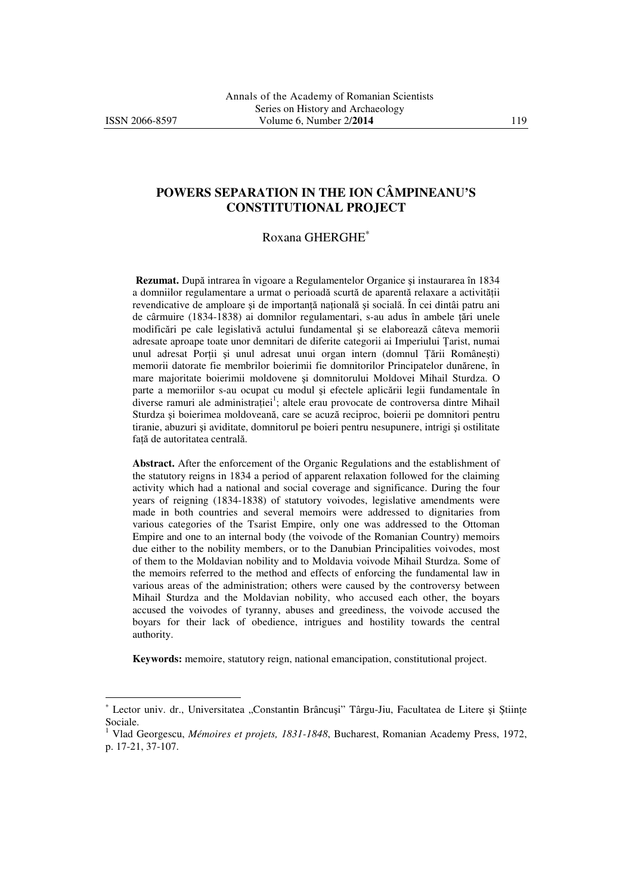l

# **POWERS SEPARATION IN THE ION CÂMPINEANU'S CONSTITUTIONAL PROJECT**

### Roxana GHERGHE<sup>∗</sup>

**Rezumat.** După intrarea în vigoare a Regulamentelor Organice şi instaurarea în 1834 a domniilor regulamentare a urmat o perioadă scurtă de aparentă relaxare a activității revendicative de amploare și de importanță națională și socială. În cei dintâi patru ani de cârmuire (1834-1838) ai domnilor regulamentari, s-au adus în ambele țări unele modificări pe cale legislativă actului fundamental şi se elaborează câteva memorii adresate aproape toate unor demnitari de diferite categorii ai Imperiului Țarist, numai unul adresat Porții și unul adresat unui organ intern (domnul Țării Românești) memorii datorate fie membrilor boierimii fie domnitorilor Principatelor dunărene, în mare majoritate boierimii moldovene şi domnitorului Moldovei Mihail Sturdza. O parte a memoriilor s-au ocupat cu modul şi efectele aplicării legii fundamentale în diverse ramuri ale administrației<sup>1</sup>; altele erau provocate de controversa dintre Mihail Sturdza şi boierimea moldoveană, care se acuză reciproc, boierii pe domnitori pentru tiranie, abuzuri şi aviditate, domnitorul pe boieri pentru nesupunere, intrigi şi ostilitate față de autoritatea centrală.

**Abstract.** After the enforcement of the Organic Regulations and the establishment of the statutory reigns in 1834 a period of apparent relaxation followed for the claiming activity which had a national and social coverage and significance. During the four years of reigning (1834-1838) of statutory voivodes, legislative amendments were made in both countries and several memoirs were addressed to dignitaries from various categories of the Tsarist Empire, only one was addressed to the Ottoman Empire and one to an internal body (the voivode of the Romanian Country) memoirs due either to the nobility members, or to the Danubian Principalities voivodes, most of them to the Moldavian nobility and to Moldavia voivode Mihail Sturdza. Some of the memoirs referred to the method and effects of enforcing the fundamental law in various areas of the administration; others were caused by the controversy between Mihail Sturdza and the Moldavian nobility, who accused each other, the boyars accused the voivodes of tyranny, abuses and greediness, the voivode accused the boyars for their lack of obedience, intrigues and hostility towards the central authority.

**Keywords:** memoire, statutory reign, national emancipation, constitutional project.

<sup>∗</sup> Lector univ. dr., Universitatea "Constantin Brâncuși" Târgu-Jiu, Facultatea de Litere și Științe Sociale.

<sup>1</sup> Vlad Georgescu, *Mémoires et projets, 1831-1848*, Bucharest, Romanian Academy Press, 1972, p. 17-21, 37-107.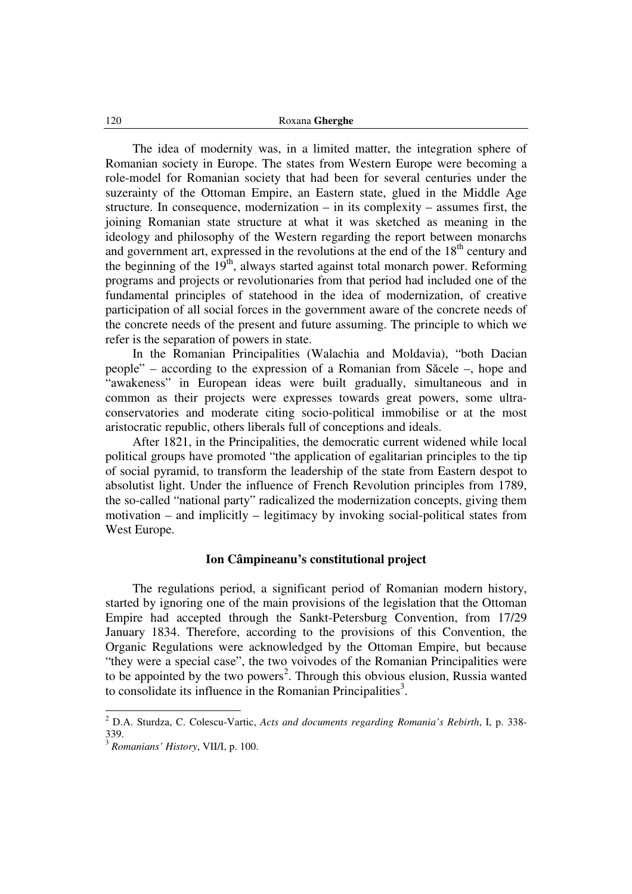The idea of modernity was, in a limited matter, the integration sphere of Romanian society in Europe. The states from Western Europe were becoming a role-model for Romanian society that had been for several centuries under the suzerainty of the Ottoman Empire, an Eastern state, glued in the Middle Age structure. In consequence, modernization – in its complexity – assumes first, the joining Romanian state structure at what it was sketched as meaning in the ideology and philosophy of the Western regarding the report between monarchs and government art, expressed in the revolutions at the end of the  $18<sup>th</sup>$  century and the beginning of the  $19<sup>th</sup>$ , always started against total monarch power. Reforming programs and projects or revolutionaries from that period had included one of the fundamental principles of statehood in the idea of modernization, of creative participation of all social forces in the government aware of the concrete needs of the concrete needs of the present and future assuming. The principle to which we refer is the separation of powers in state.

In the Romanian Principalities (Walachia and Moldavia), "both Dacian people" – according to the expression of a Romanian from Săcele –, hope and "awakeness" in European ideas were built gradually, simultaneous and in common as their projects were expresses towards great powers, some ultraconservatories and moderate citing socio-political immobilise or at the most aristocratic republic, others liberals full of conceptions and ideals.

After 1821, in the Principalities, the democratic current widened while local political groups have promoted "the application of egalitarian principles to the tip of social pyramid, to transform the leadership of the state from Eastern despot to absolutist light. Under the influence of French Revolution principles from 1789, the so-called "national party" radicalized the modernization concepts, giving them motivation – and implicitly – legitimacy by invoking social-political states from West Europe.

### **Ion Câmpineanu's constitutional project**

The regulations period, a significant period of Romanian modern history, started by ignoring one of the main provisions of the legislation that the Ottoman Empire had accepted through the Sankt-Petersburg Convention, from 17/29 January 1834. Therefore, according to the provisions of this Convention, the Organic Regulations were acknowledged by the Ottoman Empire, but because "they were a special case", the two voivodes of the Romanian Principalities were to be appointed by the two powers<sup>2</sup>. Through this obvious elusion, Russia wanted to consolidate its influence in the Romanian Principalities<sup>3</sup>.

 2 D.A. Sturdza, C. Colescu-Vartic, *Acts and documents regarding Romania's Rebirth*, I, p. 338- 339.

<sup>3</sup> *Romanians' History*, VII/I, p. 100.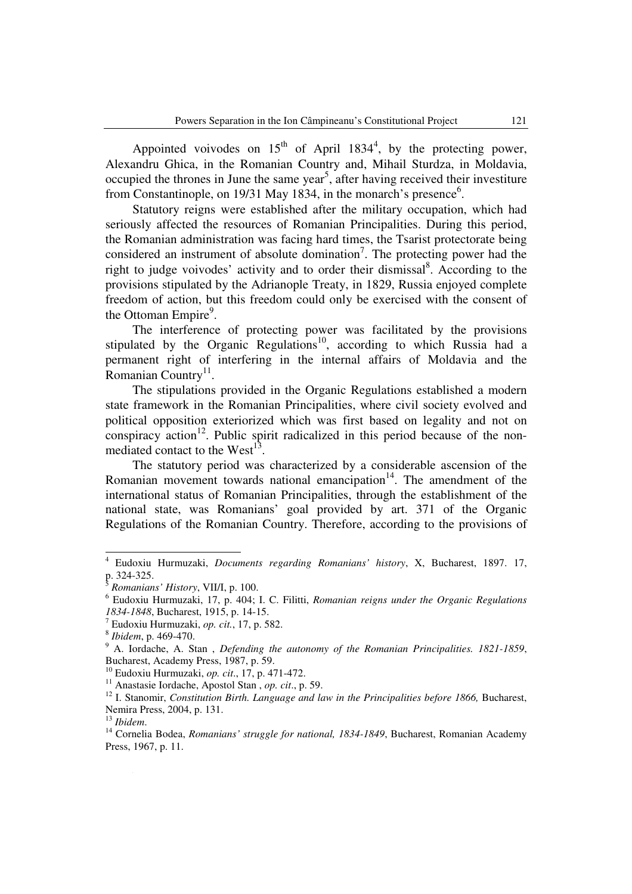Appointed voivodes on  $15<sup>th</sup>$  of April 1834<sup>4</sup>, by the protecting power, Alexandru Ghica, in the Romanian Country and, Mihail Sturdza, in Moldavia, occupied the thrones in June the same year<sup>5</sup>, after having received their investiture from Constantinople, on 19/31 May 1834, in the monarch's presence<sup>6</sup>.

Statutory reigns were established after the military occupation, which had seriously affected the resources of Romanian Principalities. During this period, the Romanian administration was facing hard times, the Tsarist protectorate being considered an instrument of absolute domination<sup>7</sup>. The protecting power had the right to judge voivodes' activity and to order their dismissal<sup>8</sup>. According to the provisions stipulated by the Adrianople Treaty, in 1829, Russia enjoyed complete freedom of action, but this freedom could only be exercised with the consent of the Ottoman Empire<sup>9</sup>.

The interference of protecting power was facilitated by the provisions stipulated by the Organic Regulations<sup>10</sup>, according to which Russia had a permanent right of interfering in the internal affairs of Moldavia and the Romanian Country<sup>11</sup>.

The stipulations provided in the Organic Regulations established a modern state framework in the Romanian Principalities, where civil society evolved and political opposition exteriorized which was first based on legality and not on conspiracy action<sup>12</sup>. Public spirit radicalized in this period because of the nonmediated contact to the West $13$ .

The statutory period was characterized by a considerable ascension of the Romanian movement towards national emancipation $14$ . The amendment of the international status of Romanian Principalities, through the establishment of the national state, was Romanians' goal provided by art. 371 of the Organic Regulations of the Romanian Country. Therefore, according to the provisions of

<sup>4</sup> Eudoxiu Hurmuzaki, *Documents regarding Romanians' history*, X, Bucharest, 1897. 17, p. 324-325.

<sup>5</sup> *Romanians' History*, VII/I, p. 100.

<sup>6</sup> Eudoxiu Hurmuzaki, 17, p. 404; I. C. Filitti, *Romanian reigns under the Organic Regulations 1834-1848*, Bucharest, 1915, p. 14-15.

<sup>7</sup> Eudoxiu Hurmuzaki, *op. cit.*, 17, p. 582.

<sup>8</sup> *Ibidem*, p. 469-470.

<sup>9</sup> A. Iordache, A. Stan , *Defending the autonomy of the Romanian Principalities. 1821-1859*, Bucharest, Academy Press, 1987, p. 59.

<sup>10</sup> Eudoxiu Hurmuzaki, *op. cit*., 17, p. 471-472.

<sup>11</sup> Anastasie Iordache, Apostol Stan , *op. cit*., p. 59.

<sup>&</sup>lt;sup>12</sup> I. Stanomir, *Constitution Birth. Language and law in the Principalities before 1866*, Bucharest, Nemira Press, 2004, p. 131.

<sup>13</sup> *Ibidem*.

<sup>&</sup>lt;sup>14</sup> Cornelia Bodea, *Romanians' struggle for national, 1834-1849*, Bucharest, Romanian Academy Press, 1967, p. 11.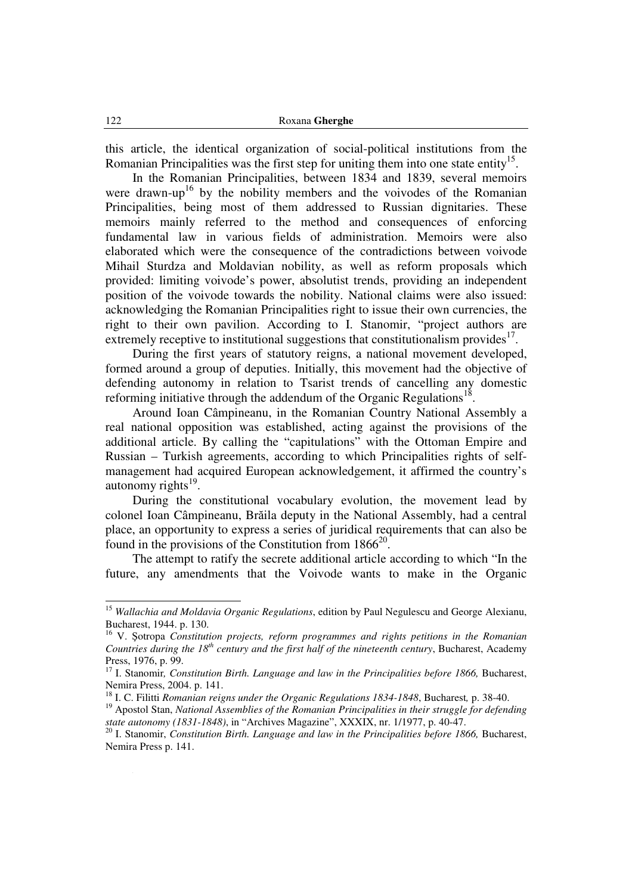this article, the identical organization of social-political institutions from the Romanian Principalities was the first step for uniting them into one state entity<sup>15</sup>.

In the Romanian Principalities, between 1834 and 1839, several memoirs were drawn-up<sup>16</sup> by the nobility members and the voivodes of the Romanian Principalities, being most of them addressed to Russian dignitaries. These memoirs mainly referred to the method and consequences of enforcing fundamental law in various fields of administration. Memoirs were also elaborated which were the consequence of the contradictions between voivode Mihail Sturdza and Moldavian nobility, as well as reform proposals which provided: limiting voivode's power, absolutist trends, providing an independent position of the voivode towards the nobility. National claims were also issued: acknowledging the Romanian Principalities right to issue their own currencies, the right to their own pavilion. According to I. Stanomir, "project authors are extremely receptive to institutional suggestions that constitutionalism provides $17$ .

During the first years of statutory reigns, a national movement developed, formed around a group of deputies. Initially, this movement had the objective of defending autonomy in relation to Tsarist trends of cancelling any domestic reforming initiative through the addendum of the Organic Regulations<sup>18</sup>.

Around Ioan Câmpineanu, in the Romanian Country National Assembly a real national opposition was established, acting against the provisions of the additional article. By calling the "capitulations" with the Ottoman Empire and Russian – Turkish agreements, according to which Principalities rights of selfmanagement had acquired European acknowledgement, it affirmed the country's autonomy rights $^{19}$ .

During the constitutional vocabulary evolution, the movement lead by colonel Ioan Câmpineanu, Brăila deputy in the National Assembly, had a central place, an opportunity to express a series of juridical requirements that can also be found in the provisions of the Constitution from  $1866^{20}$ .

The attempt to ratify the secrete additional article according to which "In the future, any amendments that the Voivode wants to make in the Organic

<sup>&</sup>lt;sup>15</sup> Wallachia and Moldavia Organic Regulations, edition by Paul Negulescu and George Alexianu, Bucharest, 1944. p. 130.

<sup>16</sup> V. Şotropa *Constitution projects, reform programmes and rights petitions in the Romanian Countries during the 18th century and the first half of the nineteenth century*, Bucharest, Academy Press, 1976, p. 99.

<sup>&</sup>lt;sup>17</sup> I. Stanomir, *Constitution Birth. Language and law in the Principalities before 1866*, Bucharest, Nemira Press, 2004. p. 141.

<sup>18</sup> I. C. Filitti *Romanian reigns under the Organic Regulations 1834-1848*, Bucharest*,* p. 38-40.

<sup>19</sup> Apostol Stan, *National Assemblies of the Romanian Principalities in their struggle for defending state autonomy (1831-1848)*, in "Archives Magazine", XXXIX, nr. 1/1977, p. 40-47.

<sup>20</sup> I. Stanomir, *Constitution Birth. Language and law in the Principalities before 1866,* Bucharest, Nemira Press p. 141.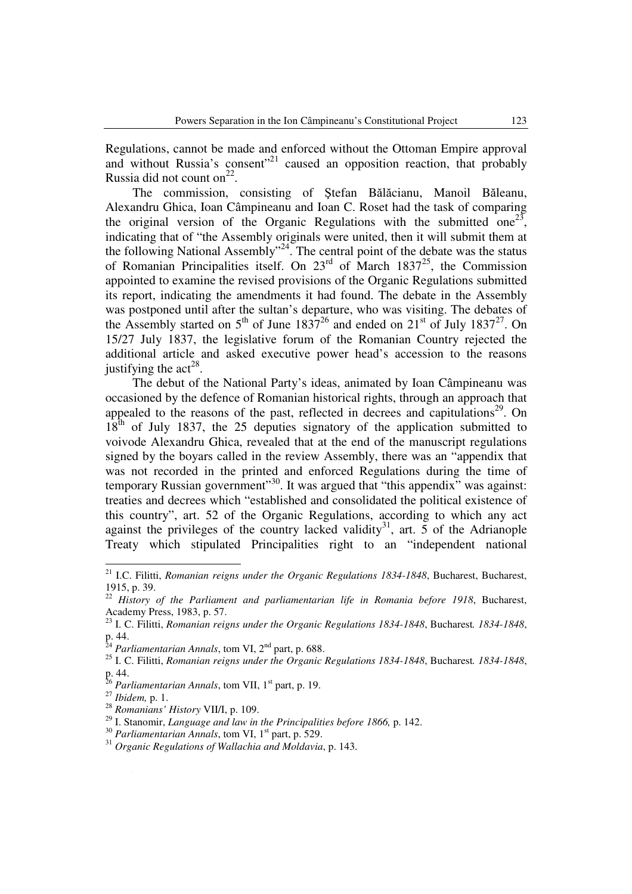Regulations, cannot be made and enforced without the Ottoman Empire approval and without Russia's consent"<sup>21</sup> caused an opposition reaction, that probably Russia did not count on $^{22}$ .

The commission, consisting of Ştefan Bălăcianu, Manoil Băleanu, Alexandru Ghica, Ioan Câmpineanu and Ioan C. Roset had the task of comparing the original version of the Organic Regulations with the submitted one<sup>23</sup>, indicating that of "the Assembly originals were united, then it will submit them at the following National Assembly"<sup>24</sup>. The central point of the debate was the status of Romanian Principalities itself. On  $23<sup>rd</sup>$  of March 1837<sup>25</sup>, the Commission appointed to examine the revised provisions of the Organic Regulations submitted its report, indicating the amendments it had found. The debate in the Assembly was postponed until after the sultan's departure, who was visiting. The debates of the Assembly started on  $5<sup>th</sup>$  of June 1837<sup>26</sup> and ended on  $21<sup>st</sup>$  of July 1837<sup>27</sup>. On 15/27 July 1837, the legislative forum of the Romanian Country rejected the additional article and asked executive power head's accession to the reasons justifying the  $\arctan 28$ .

The debut of the National Party's ideas, animated by Ioan Câmpineanu was occasioned by the defence of Romanian historical rights, through an approach that appealed to the reasons of the past, reflected in decrees and capitulations<sup>29</sup>. On  $18<sup>th</sup>$  of July 1837, the 25 deputies signatory of the application submitted to voivode Alexandru Ghica, revealed that at the end of the manuscript regulations signed by the boyars called in the review Assembly, there was an "appendix that was not recorded in the printed and enforced Regulations during the time of temporary Russian government"<sup>30</sup>. It was argued that "this appendix" was against: treaties and decrees which "established and consolidated the political existence of this country", art. 52 of the Organic Regulations, according to which any act against the privileges of the country lacked validity<sup>31</sup>, art.  $\overline{5}$  of the Adrianople Treaty which stipulated Principalities right to an "independent national

<sup>26</sup> Parliamentarian Annals, tom VII, 1<sup>st</sup> part, p. 19.

l

<sup>28</sup> *Romanians' History* VII/I, p. 109.

<sup>21</sup> I.C. Filitti, *Romanian reigns under the Organic Regulations 1834-1848*, Bucharest, Bucharest, 1915, p. 39.

<sup>&</sup>lt;sup>22</sup> History of the Parliament and parliamentarian life in Romania before 1918, Bucharest, Academy Press, 1983, p. 57.

<sup>23</sup> I. C. Filitti, *Romanian reigns under the Organic Regulations 1834-1848*, Bucharest*. 1834-1848*, p. 44.

<sup>&</sup>lt;sup>24</sup> Parliamentarian Annals, tom VI, 2<sup>nd</sup> part, p. 688.

<sup>25</sup> I. C. Filitti, *Romanian reigns under the Organic Regulations 1834-1848*, Bucharest*. 1834-1848*, p. 44.

<sup>27</sup> *Ibidem,* p. 1.

<sup>29</sup> I. Stanomir, *Language and law in the Principalities before 1866,* p. 142.

<sup>&</sup>lt;sup>30</sup> Parliamentarian Annals, tom VI, 1<sup>st</sup> part, p. 529.

<sup>31</sup> *Organic Regulations of Wallachia and Moldavia*, p. 143.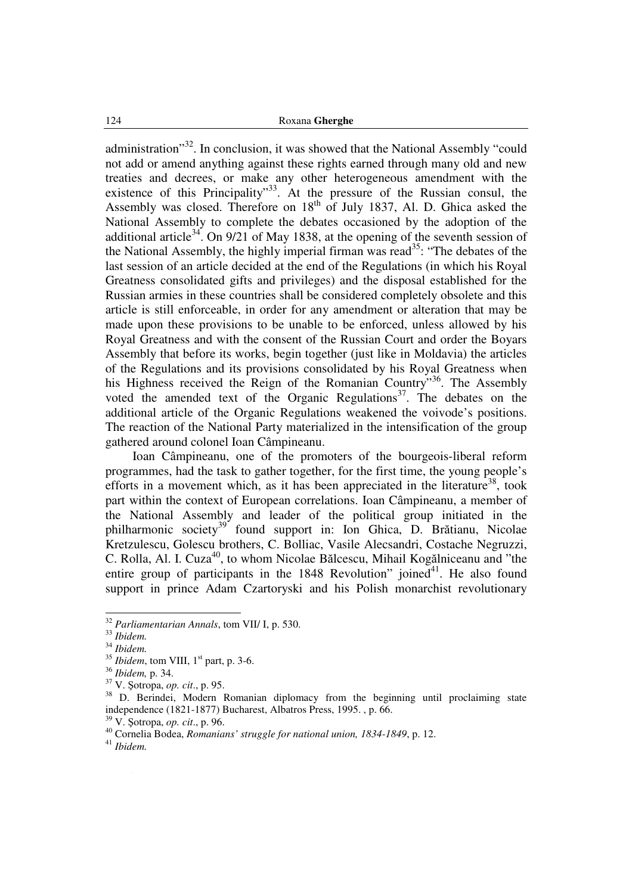administration"<sup>32</sup>. In conclusion, it was showed that the National Assembly "could not add or amend anything against these rights earned through many old and new treaties and decrees, or make any other heterogeneous amendment with the existence of this Principality"<sup>33</sup>. At the pressure of the Russian consul, the Assembly was closed. Therefore on 18<sup>th</sup> of July 1837, Al. D. Ghica asked the National Assembly to complete the debates occasioned by the adoption of the additional article<sup>34</sup>. On 9/21 of May 1838, at the opening of the seventh session of the National Assembly, the highly imperial firman was read<sup>35</sup>: "The debates of the last session of an article decided at the end of the Regulations (in which his Royal Greatness consolidated gifts and privileges) and the disposal established for the Russian armies in these countries shall be considered completely obsolete and this article is still enforceable, in order for any amendment or alteration that may be made upon these provisions to be unable to be enforced, unless allowed by his Royal Greatness and with the consent of the Russian Court and order the Boyars Assembly that before its works, begin together (just like in Moldavia) the articles of the Regulations and its provisions consolidated by his Royal Greatness when his Highness received the Reign of the Romanian Country"<sup>36</sup>. The Assembly voted the amended text of the Organic Regulations<sup>37</sup>. The debates on the additional article of the Organic Regulations weakened the voivode's positions. The reaction of the National Party materialized in the intensification of the group gathered around colonel Ioan Câmpineanu.

Ioan Câmpineanu, one of the promoters of the bourgeois-liberal reform programmes, had the task to gather together, for the first time, the young people's efforts in a movement which, as it has been appreciated in the literature<sup>38</sup>, took part within the context of European correlations. Ioan Câmpineanu, a member of the National Assembly and leader of the political group initiated in the philharmonic society<sup>39</sup> found support in: Ion Ghica, D. Brătianu, Nicolae Kretzulescu, Golescu brothers, C. Bolliac, Vasile Alecsandri, Costache Negruzzi, C. Rolla, Al. I. Cuza<sup>40</sup>, to whom Nicolae Bălcescu, Mihail Kogălniceanu and "the entire group of participants in the  $1848$  Revolution" joined<sup>41</sup>. He also found support in prince Adam Czartoryski and his Polish monarchist revolutionary

<sup>32</sup> *Parliamentarian Annals*, tom VII/ I, p. 530.

<sup>33</sup> *Ibidem.*

<sup>34</sup> *Ibidem.*

<sup>&</sup>lt;sup>35</sup> *Ibidem*, tom VIII, 1<sup>st</sup> part, p. 3-6.

<sup>36</sup> *Ibidem,* p. 34.

<sup>37</sup> V. Şotropa, *op. cit*., p. 95.

<sup>&</sup>lt;sup>38</sup> D. Berindei, Modern Romanian diplomacy from the beginning until proclaiming state independence (1821-1877) Bucharest, Albatros Press, 1995. , p. 66.

<sup>39</sup> V. Şotropa, *op. cit*., p. 96.

<sup>40</sup> Cornelia Bodea, *Romanians' struggle for national union, 1834-1849*, p. 12.

<sup>41</sup> *Ibidem.*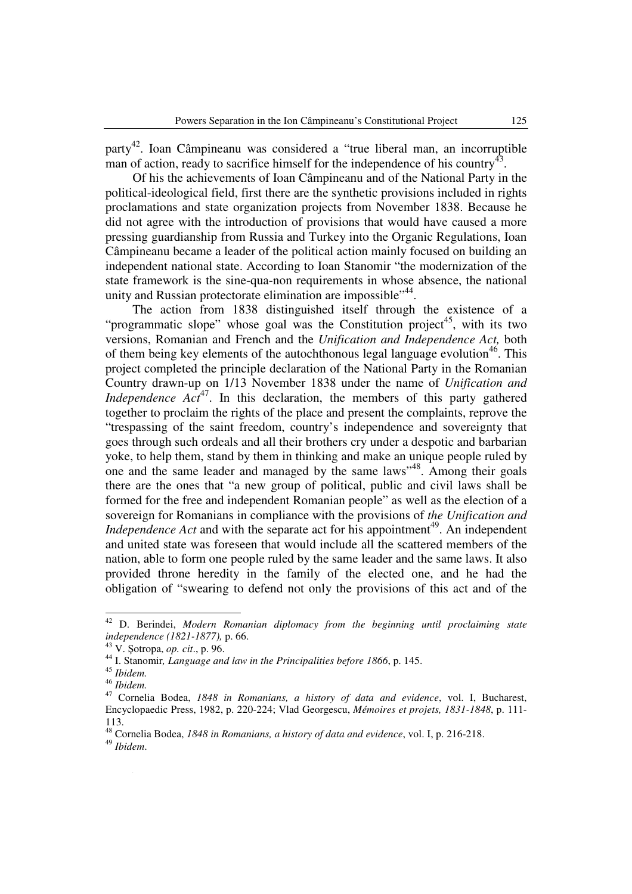party<sup>42</sup>. Ioan Câmpineanu was considered a "true liberal man, an incorruptible man of action, ready to sacrifice himself for the independence of his country<sup>43</sup>.

Of his the achievements of Ioan Câmpineanu and of the National Party in the political-ideological field, first there are the synthetic provisions included in rights proclamations and state organization projects from November 1838. Because he did not agree with the introduction of provisions that would have caused a more pressing guardianship from Russia and Turkey into the Organic Regulations, Ioan Câmpineanu became a leader of the political action mainly focused on building an independent national state. According to Ioan Stanomir "the modernization of the state framework is the sine-qua-non requirements in whose absence, the national unity and Russian protectorate elimination are impossible"<sup>44</sup>.

The action from 1838 distinguished itself through the existence of a "programmatic slope" whose goal was the Constitution project<sup>45</sup>, with its two versions, Romanian and French and the *Unification and Independence Act,* both of them being key elements of the autochthonous legal language evolution<sup>46</sup>. This project completed the principle declaration of the National Party in the Romanian Country drawn-up on 1/13 November 1838 under the name of *Unification and Independence*  $Act^{47}$ *.* In this declaration, the members of this party gathered together to proclaim the rights of the place and present the complaints, reprove the "trespassing of the saint freedom, country's independence and sovereignty that goes through such ordeals and all their brothers cry under a despotic and barbarian yoke, to help them, stand by them in thinking and make an unique people ruled by one and the same leader and managed by the same laws"<sup>48</sup>. Among their goals there are the ones that "a new group of political, public and civil laws shall be formed for the free and independent Romanian people" as well as the election of a sovereign for Romanians in compliance with the provisions of *the Unification and Independence Act* and with the separate act for his appointment<sup>49</sup>. An independent and united state was foreseen that would include all the scattered members of the nation, able to form one people ruled by the same leader and the same laws. It also provided throne heredity in the family of the elected one, and he had the obligation of "swearing to defend not only the provisions of this act and of the

<sup>42</sup> <sup>42</sup> D. Berindei, *Modern Romanian diplomacy from the beginning until proclaiming state independence (1821-1877),* p. 66.

<sup>43</sup> V. Şotropa, *op. cit*., p. 96.

<sup>44</sup> I. Stanomir*, Language and law in the Principalities before 1866*, p. 145.

<sup>45</sup> *Ibidem.*

<sup>46</sup> *Ibidem.*

<sup>47</sup> Cornelia Bodea, *1848 in Romanians, a history of data and evidence*, vol. I, Bucharest, Encyclopaedic Press, 1982, p. 220-224; Vlad Georgescu, *Mémoires et projets, 1831-1848*, p. 111- 113.

<sup>48</sup> Cornelia Bodea, *1848 in Romanians, a history of data and evidence*, vol. I, p. 216-218.

<sup>49</sup> *Ibidem*.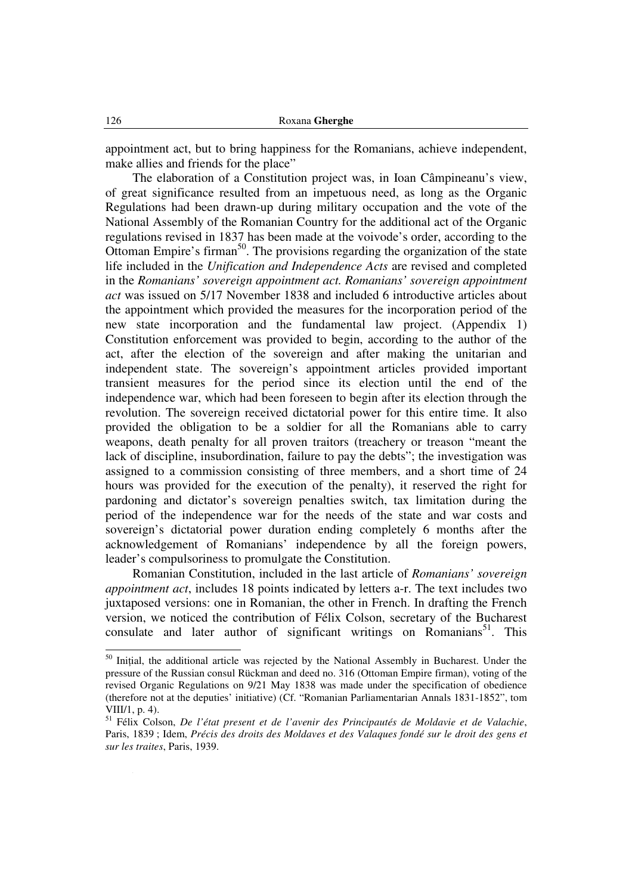appointment act, but to bring happiness for the Romanians, achieve independent, make allies and friends for the place"

The elaboration of a Constitution project was, in Ioan Câmpineanu's view, of great significance resulted from an impetuous need, as long as the Organic Regulations had been drawn-up during military occupation and the vote of the National Assembly of the Romanian Country for the additional act of the Organic regulations revised in 1837 has been made at the voivode's order, according to the Ottoman Empire's firman<sup>50</sup>. The provisions regarding the organization of the state life included in the *Unification and Independence Acts* are revised and completed in the *Romanians' sovereign appointment act. Romanians' sovereign appointment act* was issued on 5/17 November 1838 and included 6 introductive articles about the appointment which provided the measures for the incorporation period of the new state incorporation and the fundamental law project. (Appendix 1) Constitution enforcement was provided to begin, according to the author of the act, after the election of the sovereign and after making the unitarian and independent state. The sovereign's appointment articles provided important transient measures for the period since its election until the end of the independence war, which had been foreseen to begin after its election through the revolution. The sovereign received dictatorial power for this entire time. It also provided the obligation to be a soldier for all the Romanians able to carry weapons, death penalty for all proven traitors (treachery or treason "meant the lack of discipline, insubordination, failure to pay the debts"; the investigation was assigned to a commission consisting of three members, and a short time of 24 hours was provided for the execution of the penalty), it reserved the right for pardoning and dictator's sovereign penalties switch, tax limitation during the period of the independence war for the needs of the state and war costs and sovereign's dictatorial power duration ending completely 6 months after the acknowledgement of Romanians' independence by all the foreign powers, leader's compulsoriness to promulgate the Constitution.

Romanian Constitution, included in the last article of *Romanians' sovereign appointment act*, includes 18 points indicated by letters a-r. The text includes two juxtaposed versions: one in Romanian, the other in French. In drafting the French version, we noticed the contribution of Félix Colson, secretary of the Bucharest consulate and later author of significant writings on Romanians<sup>51</sup>. This

<sup>&</sup>lt;sup>50</sup> Inițial, the additional article was rejected by the National Assembly in Bucharest. Under the pressure of the Russian consul Rückman and deed no. 316 (Ottoman Empire firman), voting of the revised Organic Regulations on 9/21 May 1838 was made under the specification of obedience (therefore not at the deputies' initiative) (Cf. "Romanian Parliamentarian Annals 1831-1852", tom VIII/1, p. 4).

<sup>51</sup> Félix Colson, *De l'état present et de l'avenir des Principautés de Moldavie et de Valachie*, Paris, 1839 ; Idem, *Précis des droits des Moldaves et des Valaques fondé sur le droit des gens et sur les traites*, Paris, 1939.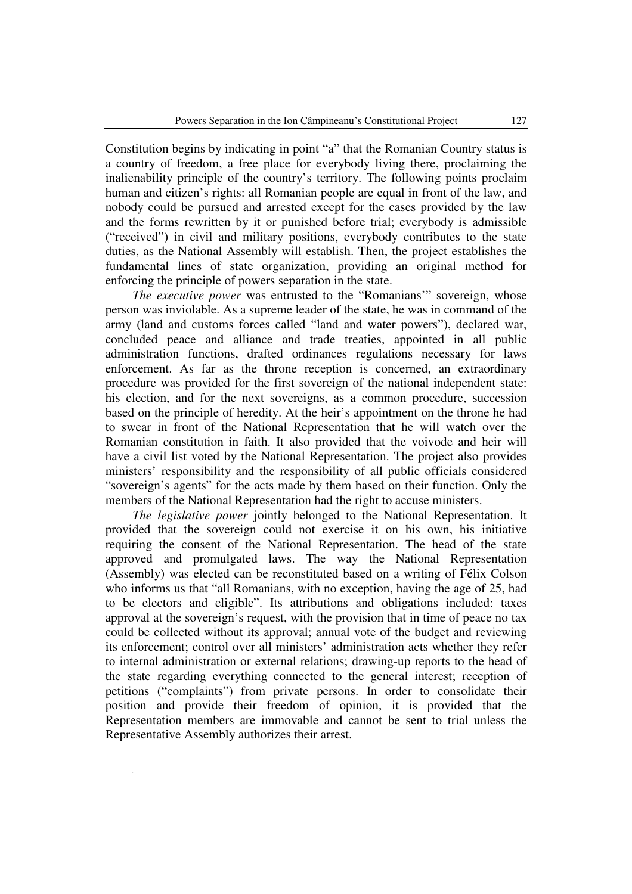Constitution begins by indicating in point "a" that the Romanian Country status is a country of freedom, a free place for everybody living there, proclaiming the inalienability principle of the country's territory. The following points proclaim human and citizen's rights: all Romanian people are equal in front of the law, and nobody could be pursued and arrested except for the cases provided by the law and the forms rewritten by it or punished before trial; everybody is admissible ("received") in civil and military positions, everybody contributes to the state duties, as the National Assembly will establish. Then, the project establishes the fundamental lines of state organization, providing an original method for enforcing the principle of powers separation in the state.

*The executive power* was entrusted to the "Romanians'" sovereign, whose person was inviolable. As a supreme leader of the state, he was in command of the army (land and customs forces called "land and water powers"), declared war, concluded peace and alliance and trade treaties, appointed in all public administration functions, drafted ordinances regulations necessary for laws enforcement. As far as the throne reception is concerned, an extraordinary procedure was provided for the first sovereign of the national independent state: his election, and for the next sovereigns, as a common procedure, succession based on the principle of heredity. At the heir's appointment on the throne he had to swear in front of the National Representation that he will watch over the Romanian constitution in faith. It also provided that the voivode and heir will have a civil list voted by the National Representation. The project also provides ministers' responsibility and the responsibility of all public officials considered "sovereign's agents" for the acts made by them based on their function. Only the members of the National Representation had the right to accuse ministers.

*The legislative power* jointly belonged to the National Representation. It provided that the sovereign could not exercise it on his own, his initiative requiring the consent of the National Representation. The head of the state approved and promulgated laws. The way the National Representation (Assembly) was elected can be reconstituted based on a writing of Félix Colson who informs us that "all Romanians, with no exception, having the age of 25, had to be electors and eligible". Its attributions and obligations included: taxes approval at the sovereign's request, with the provision that in time of peace no tax could be collected without its approval; annual vote of the budget and reviewing its enforcement; control over all ministers' administration acts whether they refer to internal administration or external relations; drawing-up reports to the head of the state regarding everything connected to the general interest; reception of petitions ("complaints") from private persons. In order to consolidate their position and provide their freedom of opinion, it is provided that the Representation members are immovable and cannot be sent to trial unless the Representative Assembly authorizes their arrest.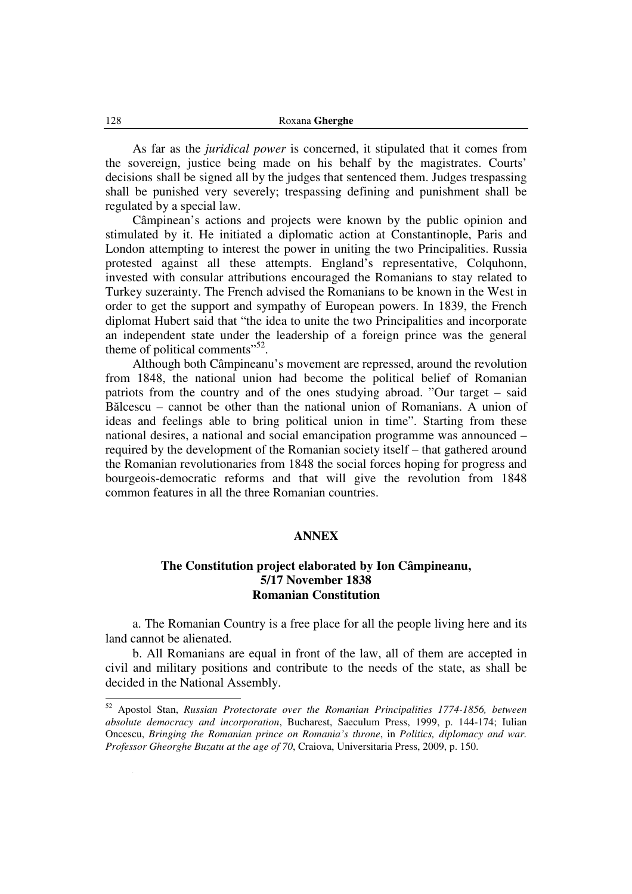As far as the *juridical power* is concerned, it stipulated that it comes from the sovereign, justice being made on his behalf by the magistrates. Courts' decisions shall be signed all by the judges that sentenced them. Judges trespassing shall be punished very severely; trespassing defining and punishment shall be regulated by a special law.

Câmpinean's actions and projects were known by the public opinion and stimulated by it. He initiated a diplomatic action at Constantinople, Paris and London attempting to interest the power in uniting the two Principalities. Russia protested against all these attempts. England's representative, Colquhonn, invested with consular attributions encouraged the Romanians to stay related to Turkey suzerainty. The French advised the Romanians to be known in the West in order to get the support and sympathy of European powers. In 1839, the French diplomat Hubert said that "the idea to unite the two Principalities and incorporate an independent state under the leadership of a foreign prince was the general theme of political comments $^{552}$ .

Although both Câmpineanu's movement are repressed, around the revolution from 1848, the national union had become the political belief of Romanian patriots from the country and of the ones studying abroad. "Our target – said Bălcescu – cannot be other than the national union of Romanians. A union of ideas and feelings able to bring political union in time". Starting from these national desires, a national and social emancipation programme was announced – required by the development of the Romanian society itself – that gathered around the Romanian revolutionaries from 1848 the social forces hoping for progress and bourgeois-democratic reforms and that will give the revolution from 1848 common features in all the three Romanian countries.

### **ANNEX**

## **The Constitution project elaborated by Ion Câmpineanu, 5/17 November 1838 Romanian Constitution**

a. The Romanian Country is a free place for all the people living here and its land cannot be alienated.

b. All Romanians are equal in front of the law, all of them are accepted in civil and military positions and contribute to the needs of the state, as shall be decided in the National Assembly.

<sup>52</sup> Apostol Stan, *Russian Protectorate over the Romanian Principalities 1774-1856, between absolute democracy and incorporation*, Bucharest, Saeculum Press, 1999, p. 144-174; Iulian Oncescu, *Bringing the Romanian prince on Romania's throne*, in *Politics, diplomacy and war. Professor Gheorghe Buzatu at the age of 70*, Craiova, Universitaria Press, 2009, p. 150.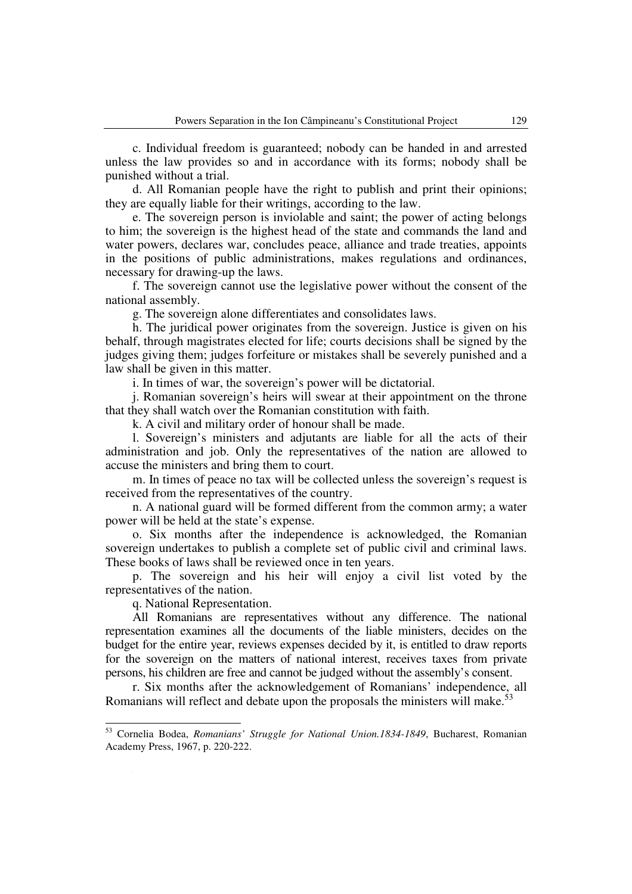c. Individual freedom is guaranteed; nobody can be handed in and arrested unless the law provides so and in accordance with its forms; nobody shall be punished without a trial.

d. All Romanian people have the right to publish and print their opinions; they are equally liable for their writings, according to the law.

e. The sovereign person is inviolable and saint; the power of acting belongs to him; the sovereign is the highest head of the state and commands the land and water powers, declares war, concludes peace, alliance and trade treaties, appoints in the positions of public administrations, makes regulations and ordinances, necessary for drawing-up the laws.

f. The sovereign cannot use the legislative power without the consent of the national assembly.

g. The sovereign alone differentiates and consolidates laws.

h. The juridical power originates from the sovereign. Justice is given on his behalf, through magistrates elected for life; courts decisions shall be signed by the judges giving them; judges forfeiture or mistakes shall be severely punished and a law shall be given in this matter.

i. In times of war, the sovereign's power will be dictatorial.

j. Romanian sovereign's heirs will swear at their appointment on the throne that they shall watch over the Romanian constitution with faith.

k. A civil and military order of honour shall be made.

l. Sovereign's ministers and adjutants are liable for all the acts of their administration and job. Only the representatives of the nation are allowed to accuse the ministers and bring them to court.

m. In times of peace no tax will be collected unless the sovereign's request is received from the representatives of the country.

n. A national guard will be formed different from the common army; a water power will be held at the state's expense.

o. Six months after the independence is acknowledged, the Romanian sovereign undertakes to publish a complete set of public civil and criminal laws. These books of laws shall be reviewed once in ten years.

p. The sovereign and his heir will enjoy a civil list voted by the representatives of the nation.

q. National Representation.

l

All Romanians are representatives without any difference. The national representation examines all the documents of the liable ministers, decides on the budget for the entire year, reviews expenses decided by it, is entitled to draw reports for the sovereign on the matters of national interest, receives taxes from private persons, his children are free and cannot be judged without the assembly's consent.

r. Six months after the acknowledgement of Romanians' independence, all Romanians will reflect and debate upon the proposals the ministers will make.<sup>53</sup>

<sup>53</sup> Cornelia Bodea, *Romanians' Struggle for National Union.1834-1849*, Bucharest, Romanian Academy Press, 1967, p. 220-222.